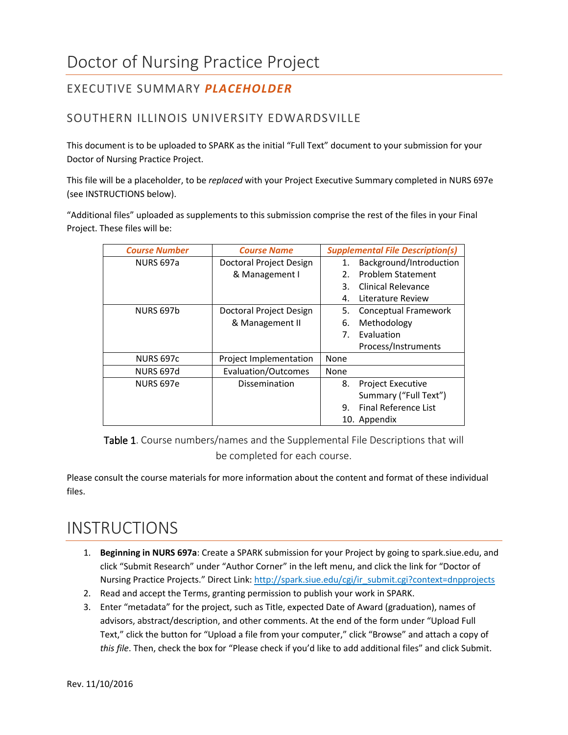## EXECUTIVE SUMMARY *PLACEHOLDER*

## SOUTHERN ILLINOIS UNIVERSITY EDWARDSVILLE

This document is to be uploaded to SPARK as the initial "Full Text" document to your submission for your Doctor of Nursing Practice Project.

This file will be a placeholder, to be *replaced* with your Project Executive Summary completed in NURS 697e (see INSTRUCTIONS below).

"Additional files" uploaded as supplements to this submission comprise the rest of the files in your Final Project. These files will be:

| <b>Course Number</b> | <b>Course Name</b>         | <b>Supplemental File Description(s)</b> |
|----------------------|----------------------------|-----------------------------------------|
| <b>NURS 697a</b>     | Doctoral Project Design    | Background/Introduction<br>1.           |
|                      | & Management I             | Problem Statement<br>2.                 |
|                      |                            | Clinical Relevance<br>3.                |
|                      |                            | Literature Review<br>4.                 |
| <b>NURS 697b</b>     | Doctoral Project Design    | <b>Conceptual Framework</b><br>5.       |
|                      | & Management II            | 6.<br>Methodology                       |
|                      |                            | Evaluation<br>7.                        |
|                      |                            | Process/Instruments                     |
| <b>NURS 697c</b>     | Project Implementation     | None                                    |
| <b>NURS 697d</b>     | <b>Evaluation/Outcomes</b> | None                                    |
| NURS 697e            | Dissemination              | 8.<br><b>Project Executive</b>          |
|                      |                            | Summary ("Full Text")                   |
|                      |                            | Final Reference List<br>9.              |
|                      |                            | 10. Appendix                            |

Table 1. Course numbers/names and the Supplemental File Descriptions that will be completed for each course.

Please consult the course materials for more information about the content and format of these individual files.

## INSTRUCTIONS

- 1. **Beginning in NURS 697a**: Create a SPARK submission for your Project by going to spark.siue.edu, and click "Submit Research" under "Author Corner" in the left menu, and click the link for "Doctor of Nursing Practice Projects." Direct Link: [http://spark.siue.edu/cgi/ir\\_submit.cgi?context=dnpprojects](http://spark.siue.edu/cgi/ir_submit.cgi?context=dnpprojects)
- 2. Read and accept the Terms, granting permission to publish your work in SPARK.
- 3. Enter "metadata" for the project, such as Title, expected Date of Award (graduation), names of advisors, abstract/description, and other comments. At the end of the form under "Upload Full Text," click the button for "Upload a file from your computer," click "Browse" and attach a copy of *this file*. Then, check the box for "Please check if you'd like to add additional files" and click Submit.